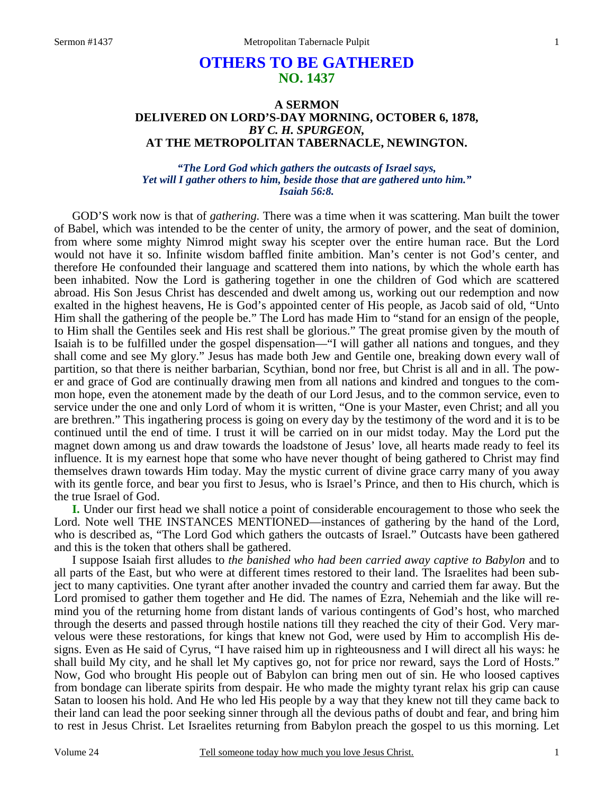# **OTHERS TO BE GATHERED NO. 1437**

#### **A SERMON DELIVERED ON LORD'S-DAY MORNING, OCTOBER 6, 1878,**  *BY C. H. SPURGEON,*  **AT THE METROPOLITAN TABERNACLE, NEWINGTON.**

#### *"The Lord God which gathers the outcasts of Israel says, Yet will I gather others to him, beside those that are gathered unto him." Isaiah 56:8.*

GOD'S work now is that of *gathering.* There was a time when it was scattering. Man built the tower of Babel, which was intended to be the center of unity, the armory of power, and the seat of dominion, from where some mighty Nimrod might sway his scepter over the entire human race. But the Lord would not have it so. Infinite wisdom baffled finite ambition. Man's center is not God's center, and therefore He confounded their language and scattered them into nations, by which the whole earth has been inhabited. Now the Lord is gathering together in one the children of God which are scattered abroad. His Son Jesus Christ has descended and dwelt among us, working out our redemption and now exalted in the highest heavens, He is God's appointed center of His people, as Jacob said of old, "Unto Him shall the gathering of the people be." The Lord has made Him to "stand for an ensign of the people, to Him shall the Gentiles seek and His rest shall be glorious." The great promise given by the mouth of Isaiah is to be fulfilled under the gospel dispensation—"I will gather all nations and tongues, and they shall come and see My glory." Jesus has made both Jew and Gentile one, breaking down every wall of partition, so that there is neither barbarian, Scythian, bond nor free, but Christ is all and in all. The power and grace of God are continually drawing men from all nations and kindred and tongues to the common hope, even the atonement made by the death of our Lord Jesus, and to the common service, even to service under the one and only Lord of whom it is written, "One is your Master, even Christ; and all you are brethren." This ingathering process is going on every day by the testimony of the word and it is to be continued until the end of time. I trust it will be carried on in our midst today. May the Lord put the magnet down among us and draw towards the loadstone of Jesus' love, all hearts made ready to feel its influence. It is my earnest hope that some who have never thought of being gathered to Christ may find themselves drawn towards Him today. May the mystic current of divine grace carry many of you away with its gentle force, and bear you first to Jesus, who is Israel's Prince, and then to His church, which is the true Israel of God.

**I.** Under our first head we shall notice a point of considerable encouragement to those who seek the Lord. Note well THE INSTANCES MENTIONED—instances of gathering by the hand of the Lord, who is described as, "The Lord God which gathers the outcasts of Israel." Outcasts have been gathered and this is the token that others shall be gathered.

I suppose Isaiah first alludes to *the banished who had been carried away captive to Babylon* and to all parts of the East, but who were at different times restored to their land. The Israelites had been subject to many captivities. One tyrant after another invaded the country and carried them far away. But the Lord promised to gather them together and He did. The names of Ezra, Nehemiah and the like will remind you of the returning home from distant lands of various contingents of God's host, who marched through the deserts and passed through hostile nations till they reached the city of their God. Very marvelous were these restorations, for kings that knew not God, were used by Him to accomplish His designs. Even as He said of Cyrus, "I have raised him up in righteousness and I will direct all his ways: he shall build My city, and he shall let My captives go, not for price nor reward, says the Lord of Hosts." Now, God who brought His people out of Babylon can bring men out of sin. He who loosed captives from bondage can liberate spirits from despair. He who made the mighty tyrant relax his grip can cause Satan to loosen his hold. And He who led His people by a way that they knew not till they came back to their land can lead the poor seeking sinner through all the devious paths of doubt and fear, and bring him to rest in Jesus Christ. Let Israelites returning from Babylon preach the gospel to us this morning. Let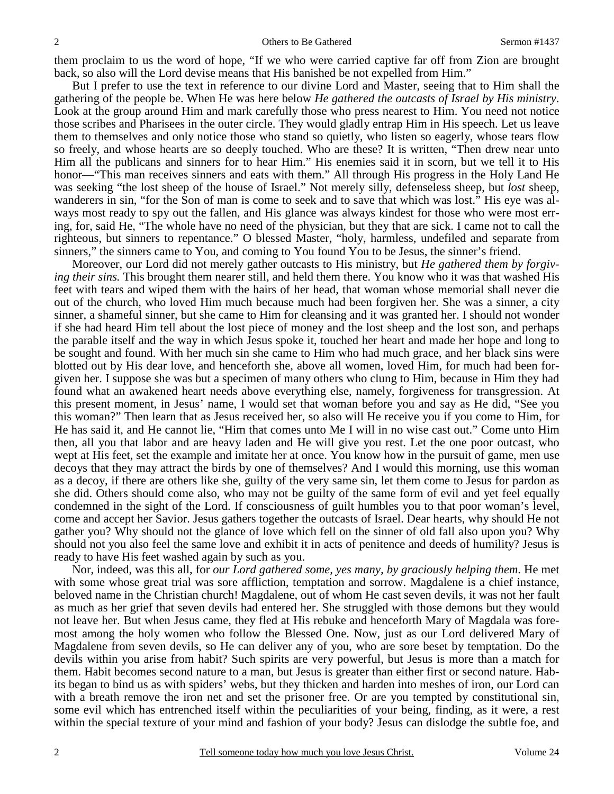them proclaim to us the word of hope, "If we who were carried captive far off from Zion are brought back, so also will the Lord devise means that His banished be not expelled from Him."

But I prefer to use the text in reference to our divine Lord and Master, seeing that to Him shall the gathering of the people be. When He was here below *He gathered the outcasts of Israel by His ministry*. Look at the group around Him and mark carefully those who press nearest to Him. You need not notice those scribes and Pharisees in the outer circle. They would gladly entrap Him in His speech. Let us leave them to themselves and only notice those who stand so quietly, who listen so eagerly, whose tears flow so freely, and whose hearts are so deeply touched. Who are these? It is written, "Then drew near unto Him all the publicans and sinners for to hear Him." His enemies said it in scorn, but we tell it to His honor—"This man receives sinners and eats with them." All through His progress in the Holy Land He was seeking "the lost sheep of the house of Israel." Not merely silly, defenseless sheep, but *lost* sheep, wanderers in sin, "for the Son of man is come to seek and to save that which was lost." His eye was always most ready to spy out the fallen, and His glance was always kindest for those who were most erring, for, said He, "The whole have no need of the physician, but they that are sick. I came not to call the righteous, but sinners to repentance." O blessed Master, "holy, harmless, undefiled and separate from sinners," the sinners came to You, and coming to You found You to be Jesus, the sinner's friend.

Moreover, our Lord did not merely gather outcasts to His ministry, but *He gathered them by forgiving their sins.* This brought them nearer still, and held them there. You know who it was that washed His feet with tears and wiped them with the hairs of her head, that woman whose memorial shall never die out of the church, who loved Him much because much had been forgiven her. She was a sinner, a city sinner, a shameful sinner, but she came to Him for cleansing and it was granted her. I should not wonder if she had heard Him tell about the lost piece of money and the lost sheep and the lost son, and perhaps the parable itself and the way in which Jesus spoke it, touched her heart and made her hope and long to be sought and found. With her much sin she came to Him who had much grace, and her black sins were blotted out by His dear love, and henceforth she, above all women, loved Him, for much had been forgiven her. I suppose she was but a specimen of many others who clung to Him, because in Him they had found what an awakened heart needs above everything else, namely, forgiveness for transgression. At this present moment, in Jesus' name, I would set that woman before you and say as He did, "See you this woman?" Then learn that as Jesus received her, so also will He receive you if you come to Him, for He has said it, and He cannot lie, "Him that comes unto Me I will in no wise cast out." Come unto Him then, all you that labor and are heavy laden and He will give you rest. Let the one poor outcast, who wept at His feet, set the example and imitate her at once. You know how in the pursuit of game, men use decoys that they may attract the birds by one of themselves? And I would this morning, use this woman as a decoy, if there are others like she, guilty of the very same sin, let them come to Jesus for pardon as she did. Others should come also, who may not be guilty of the same form of evil and yet feel equally condemned in the sight of the Lord. If consciousness of guilt humbles you to that poor woman's level, come and accept her Savior. Jesus gathers together the outcasts of Israel. Dear hearts, why should He not gather you? Why should not the glance of love which fell on the sinner of old fall also upon you? Why should not you also feel the same love and exhibit it in acts of penitence and deeds of humility? Jesus is ready to have His feet washed again by such as you.

Nor, indeed, was this all, for *our Lord gathered some, yes many, by graciously helping them*. He met with some whose great trial was sore affliction, temptation and sorrow. Magdalene is a chief instance, beloved name in the Christian church! Magdalene, out of whom He cast seven devils, it was not her fault as much as her grief that seven devils had entered her. She struggled with those demons but they would not leave her. But when Jesus came, they fled at His rebuke and henceforth Mary of Magdala was foremost among the holy women who follow the Blessed One. Now, just as our Lord delivered Mary of Magdalene from seven devils, so He can deliver any of you, who are sore beset by temptation. Do the devils within you arise from habit? Such spirits are very powerful, but Jesus is more than a match for them. Habit becomes second nature to a man, but Jesus is greater than either first or second nature. Habits began to bind us as with spiders' webs, but they thicken and harden into meshes of iron, our Lord can with a breath remove the iron net and set the prisoner free. Or are you tempted by constitutional sin, some evil which has entrenched itself within the peculiarities of your being, finding, as it were, a rest within the special texture of your mind and fashion of your body? Jesus can dislodge the subtle foe, and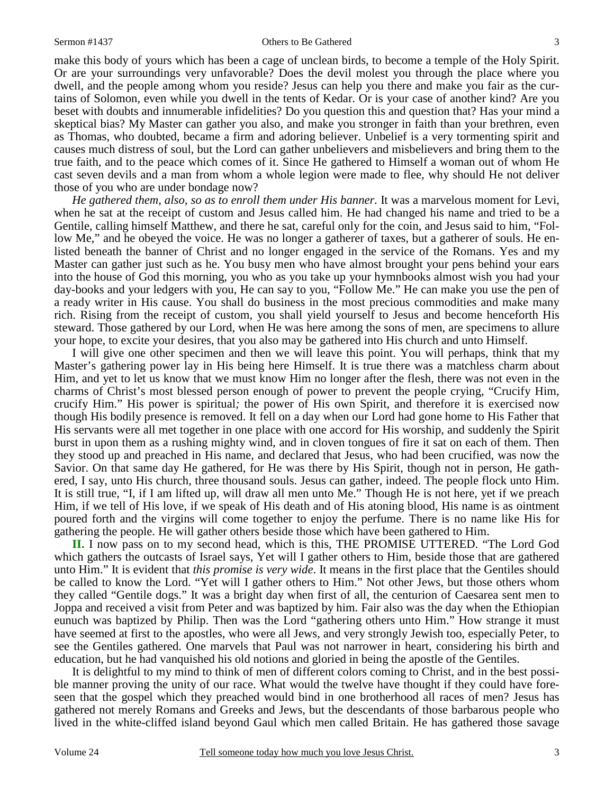3

make this body of yours which has been a cage of unclean birds, to become a temple of the Holy Spirit. Or are your surroundings very unfavorable? Does the devil molest you through the place where you dwell, and the people among whom you reside? Jesus can help you there and make you fair as the curtains of Solomon, even while you dwell in the tents of Kedar. Or is your case of another kind? Are you beset with doubts and innumerable infidelities? Do you question this and question that? Has your mind a skeptical bias? My Master can gather you also, and make you stronger in faith than your brethren, even as Thomas, who doubted, became a firm and adoring believer. Unbelief is a very tormenting spirit and causes much distress of soul, but the Lord can gather unbelievers and misbelievers and bring them to the true faith, and to the peace which comes of it. Since He gathered to Himself a woman out of whom He cast seven devils and a man from whom a whole legion were made to flee, why should He not deliver those of you who are under bondage now?

*He gathered them, also, so as to enroll them under His banner.* It was a marvelous moment for Levi, when he sat at the receipt of custom and Jesus called him. He had changed his name and tried to be a Gentile, calling himself Matthew, and there he sat, careful only for the coin, and Jesus said to him, "Follow Me," and he obeyed the voice. He was no longer a gatherer of taxes, but a gatherer of souls. He enlisted beneath the banner of Christ and no longer engaged in the service of the Romans. Yes and my Master can gather just such as he. You busy men who have almost brought your pens behind your ears into the house of God this morning, you who as you take up your hymnbooks almost wish you had your day-books and your ledgers with you, He can say to you, "Follow Me." He can make you use the pen of a ready writer in His cause. You shall do business in the most precious commodities and make many rich. Rising from the receipt of custom, you shall yield yourself to Jesus and become henceforth His steward. Those gathered by our Lord, when He was here among the sons of men, are specimens to allure your hope, to excite your desires, that you also may be gathered into His church and unto Himself.

I will give one other specimen and then we will leave this point. You will perhaps, think that my Master's gathering power lay in His being here Himself. It is true there was a matchless charm about Him, and yet to let us know that we must know Him no longer after the flesh, there was not even in the charms of Christ's most blessed person enough of power to prevent the people crying, "Crucify Him, crucify Him." His power is spiritual*;* the power of His own Spirit, and therefore it is exercised now though His bodily presence is removed. It fell on a day when our Lord had gone home to His Father that His servants were all met together in one place with one accord for His worship, and suddenly the Spirit burst in upon them as a rushing mighty wind, and in cloven tongues of fire it sat on each of them. Then they stood up and preached in His name, and declared that Jesus, who had been crucified, was now the Savior. On that same day He gathered, for He was there by His Spirit, though not in person, He gathered, I say, unto His church, three thousand souls. Jesus can gather, indeed. The people flock unto Him. It is still true, "I, if I am lifted up, will draw all men unto Me." Though He is not here, yet if we preach Him, if we tell of His love, if we speak of His death and of His atoning blood, His name is as ointment poured forth and the virgins will come together to enjoy the perfume. There is no name like His for gathering the people. He will gather others beside those which have been gathered to Him.

**II.** I now pass on to my second head, which is this, THE PROMISE UTTERED. "The Lord God which gathers the outcasts of Israel says, Yet will I gather others to Him, beside those that are gathered unto Him." It is evident that *this promise is very wide*. It means in the first place that the Gentiles should be called to know the Lord. "Yet will I gather others to Him." Not other Jews, but those others whom they called "Gentile dogs." It was a bright day when first of all, the centurion of Caesarea sent men to Joppa and received a visit from Peter and was baptized by him. Fair also was the day when the Ethiopian eunuch was baptized by Philip. Then was the Lord "gathering others unto Him." How strange it must have seemed at first to the apostles, who were all Jews, and very strongly Jewish too, especially Peter, to see the Gentiles gathered. One marvels that Paul was not narrower in heart, considering his birth and education, but he had vanquished his old notions and gloried in being the apostle of the Gentiles.

It is delightful to my mind to think of men of different colors coming to Christ, and in the best possible manner proving the unity of our race. What would the twelve have thought if they could have foreseen that the gospel which they preached would bind in one brotherhood all races of men? Jesus has gathered not merely Romans and Greeks and Jews, but the descendants of those barbarous people who lived in the white-cliffed island beyond Gaul which men called Britain. He has gathered those savage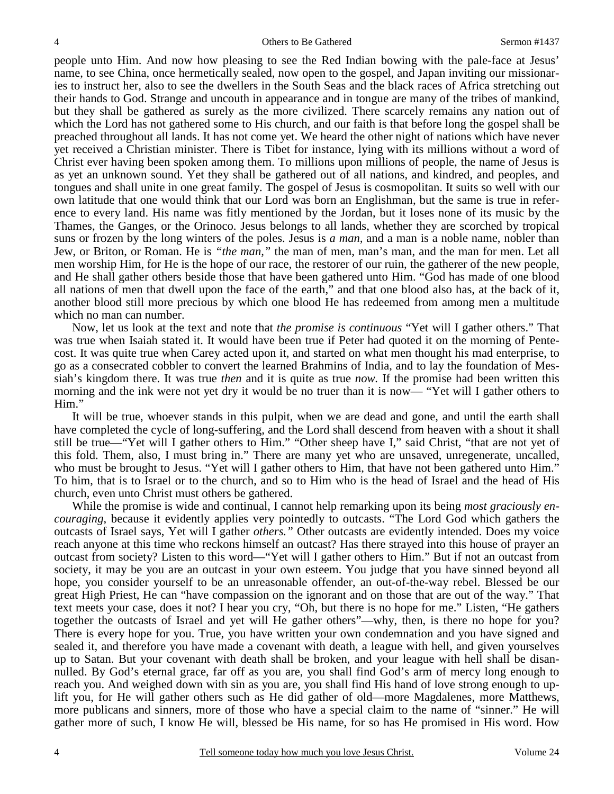people unto Him. And now how pleasing to see the Red Indian bowing with the pale-face at Jesus' name, to see China, once hermetically sealed, now open to the gospel, and Japan inviting our missionaries to instruct her, also to see the dwellers in the South Seas and the black races of Africa stretching out their hands to God. Strange and uncouth in appearance and in tongue are many of the tribes of mankind, but they shall be gathered as surely as the more civilized. There scarcely remains any nation out of which the Lord has not gathered some to His church, and our faith is that before long the gospel shall be preached throughout all lands. It has not come yet. We heard the other night of nations which have never yet received a Christian minister. There is Tibet for instance, lying with its millions without a word of Christ ever having been spoken among them. To millions upon millions of people, the name of Jesus is as yet an unknown sound. Yet they shall be gathered out of all nations, and kindred, and peoples, and tongues and shall unite in one great family. The gospel of Jesus is cosmopolitan. It suits so well with our own latitude that one would think that our Lord was born an Englishman, but the same is true in reference to every land. His name was fitly mentioned by the Jordan, but it loses none of its music by the Thames, the Ganges, or the Orinoco. Jesus belongs to all lands, whether they are scorched by tropical suns or frozen by the long winters of the poles. Jesus is *a man,* and a man is a noble name, nobler than Jew, or Briton, or Roman. He is *"the man,"* the man of men, man's man, and the man for men. Let all men worship Him, for He is the hope of our race, the restorer of our ruin, the gatherer of the new people, and He shall gather others beside those that have been gathered unto Him. "God has made of one blood all nations of men that dwell upon the face of the earth," and that one blood also has, at the back of it, another blood still more precious by which one blood He has redeemed from among men a multitude which no man can number.

Now, let us look at the text and note that *the promise is continuous* "Yet will I gather others." That was true when Isaiah stated it. It would have been true if Peter had quoted it on the morning of Pentecost. It was quite true when Carey acted upon it, and started on what men thought his mad enterprise, to go as a consecrated cobbler to convert the learned Brahmins of India, and to lay the foundation of Messiah's kingdom there. It was true *then* and it is quite as true *now.* If the promise had been written this morning and the ink were not yet dry it would be no truer than it is now— "Yet will I gather others to Him."

It will be true, whoever stands in this pulpit, when we are dead and gone, and until the earth shall have completed the cycle of long-suffering, and the Lord shall descend from heaven with a shout it shall still be true—"Yet will I gather others to Him." "Other sheep have I," said Christ, "that are not yet of this fold. Them, also, I must bring in." There are many yet who are unsaved, unregenerate, uncalled, who must be brought to Jesus. "Yet will I gather others to Him, that have not been gathered unto Him." To him, that is to Israel or to the church, and so to Him who is the head of Israel and the head of His church, even unto Christ must others be gathered.

While the promise is wide and continual, I cannot help remarking upon its being *most graciously encouraging*, because it evidently applies very pointedly to outcasts. "The Lord God which gathers the outcasts of Israel says, Yet will I gather *others."* Other outcasts are evidently intended. Does my voice reach anyone at this time who reckons himself an outcast? Has there strayed into this house of prayer an outcast from society? Listen to this word—"Yet will I gather others to Him." But if not an outcast from society, it may be you are an outcast in your own esteem. You judge that you have sinned beyond all hope, you consider yourself to be an unreasonable offender, an out-of-the-way rebel. Blessed be our great High Priest, He can "have compassion on the ignorant and on those that are out of the way." That text meets your case, does it not? I hear you cry, "Oh, but there is no hope for me." Listen, "He gathers together the outcasts of Israel and yet will He gather others"—why, then, is there no hope for you? There is every hope for you. True, you have written your own condemnation and you have signed and sealed it, and therefore you have made a covenant with death, a league with hell, and given yourselves up to Satan. But your covenant with death shall be broken, and your league with hell shall be disannulled. By God's eternal grace, far off as you are, you shall find God's arm of mercy long enough to reach you. And weighed down with sin as you are, you shall find His hand of love strong enough to uplift you, for He will gather others such as He did gather of old—more Magdalenes, more Matthews, more publicans and sinners, more of those who have a special claim to the name of "sinner." He will gather more of such, I know He will, blessed be His name, for so has He promised in His word. How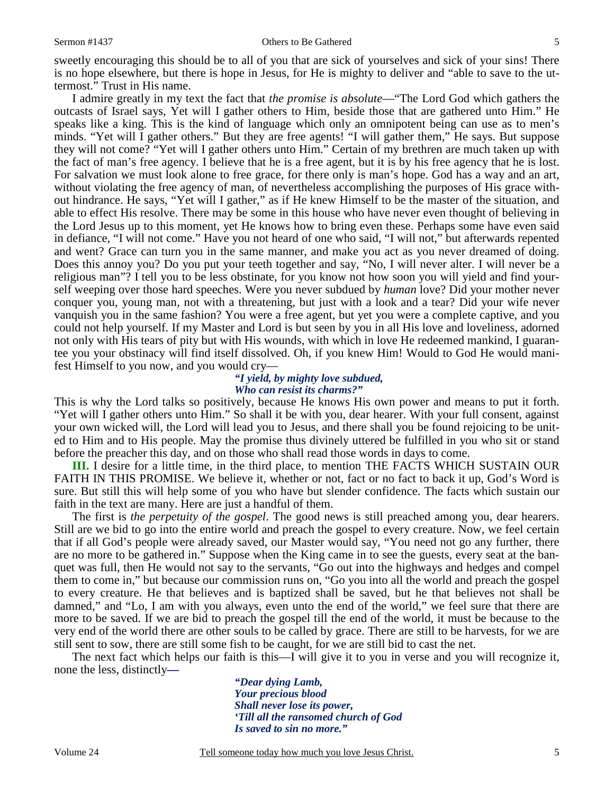sweetly encouraging this should be to all of you that are sick of yourselves and sick of your sins! There is no hope elsewhere, but there is hope in Jesus, for He is mighty to deliver and "able to save to the uttermost." Trust in His name.

I admire greatly in my text the fact that *the promise is absolute*—"The Lord God which gathers the outcasts of Israel says, Yet will I gather others to Him, beside those that are gathered unto Him." He speaks like a king. This is the kind of language which only an omnipotent being can use as to men's minds. "Yet will I gather others." But they are free agents! "I will gather them," He says. But suppose they will not come? "Yet will I gather others unto Him." Certain of my brethren are much taken up with the fact of man's free agency. I believe that he is a free agent, but it is by his free agency that he is lost. For salvation we must look alone to free grace, for there only is man's hope. God has a way and an art, without violating the free agency of man, of nevertheless accomplishing the purposes of His grace without hindrance. He says, "Yet will I gather," as if He knew Himself to be the master of the situation, and able to effect His resolve. There may be some in this house who have never even thought of believing in the Lord Jesus up to this moment, yet He knows how to bring even these. Perhaps some have even said in defiance, "I will not come." Have you not heard of one who said, "I will not," but afterwards repented and went? Grace can turn you in the same manner, and make you act as you never dreamed of doing. Does this annoy you? Do you put your teeth together and say, "No, I will never alter. I will never be a religious man"? I tell you to be less obstinate, for you know not how soon you will yield and find yourself weeping over those hard speeches. Were you never subdued by *human* love? Did your mother never conquer you, young man, not with a threatening, but just with a look and a tear? Did your wife never vanquish you in the same fashion? You were a free agent, but yet you were a complete captive, and you could not help yourself. If my Master and Lord is but seen by you in all His love and loveliness, adorned not only with His tears of pity but with His wounds, with which in love He redeemed mankind, I guarantee you your obstinacy will find itself dissolved. Oh, if you knew Him! Would to God He would manifest Himself to you now, and you would cry—

## *"I yield, by mighty love subdued, Who can resist its charms?"*

This is why the Lord talks so positively, because He knows His own power and means to put it forth. "Yet will I gather others unto Him." So shall it be with you, dear hearer. With your full consent, against your own wicked will, the Lord will lead you to Jesus, and there shall you be found rejoicing to be united to Him and to His people. May the promise thus divinely uttered be fulfilled in you who sit or stand before the preacher this day, and on those who shall read those words in days to come.

**III.** I desire for a little time, in the third place, to mention THE FACTS WHICH SUSTAIN OUR FAITH IN THIS PROMISE. We believe it, whether or not, fact or no fact to back it up, God's Word is sure. But still this will help some of you who have but slender confidence. The facts which sustain our faith in the text are many. Here are just a handful of them.

The first is *the perpetuity of the gospel*. The good news is still preached among you, dear hearers. Still are we bid to go into the entire world and preach the gospel to every creature. Now, we feel certain that if all God's people were already saved, our Master would say, "You need not go any further, there are no more to be gathered in." Suppose when the King came in to see the guests, every seat at the banquet was full, then He would not say to the servants, "Go out into the highways and hedges and compel them to come in," but because our commission runs on, "Go you into all the world and preach the gospel to every creature. He that believes and is baptized shall be saved, but he that believes not shall be damned," and "Lo, I am with you always, even unto the end of the world," we feel sure that there are more to be saved. If we are bid to preach the gospel till the end of the world, it must be because to the very end of the world there are other souls to be called by grace. There are still to be harvests, for we are still sent to sow, there are still some fish to be caught, for we are still bid to cast the net.

The next fact which helps our faith is this—I will give it to you in verse and you will recognize it, none the less, distinctly*—* 

> *"Dear dying Lamb, Your precious blood Shall never lose its power, 'Till all the ransomed church of God Is saved to sin no more."*

5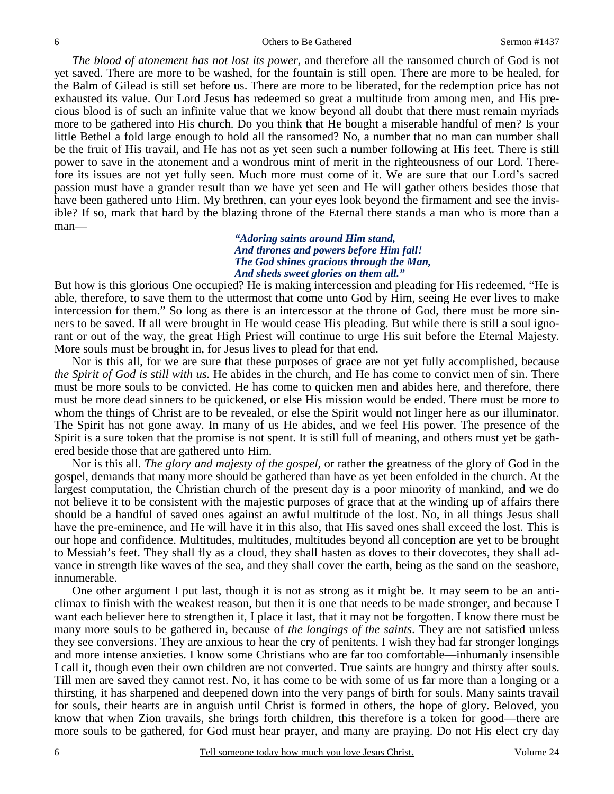*The blood of atonement has not lost its power,* and therefore all the ransomed church of God is not yet saved. There are more to be washed, for the fountain is still open. There are more to be healed, for the Balm of Gilead is still set before us. There are more to be liberated, for the redemption price has not exhausted its value. Our Lord Jesus has redeemed so great a multitude from among men, and His precious blood is of such an infinite value that we know beyond all doubt that there must remain myriads more to be gathered into His church. Do you think that He bought a miserable handful of men? Is your little Bethel a fold large enough to hold all the ransomed? No, a number that no man can number shall be the fruit of His travail, and He has not as yet seen such a number following at His feet. There is still power to save in the atonement and a wondrous mint of merit in the righteousness of our Lord. Therefore its issues are not yet fully seen. Much more must come of it. We are sure that our Lord's sacred passion must have a grander result than we have yet seen and He will gather others besides those that have been gathered unto Him. My brethren, can your eyes look beyond the firmament and see the invisible? If so, mark that hard by the blazing throne of the Eternal there stands a man who is more than a man—

*"Adoring saints around Him stand, And thrones and powers before Him fall! The God shines gracious through the Man, And sheds sweet glories on them all."* 

But how is this glorious One occupied? He is making intercession and pleading for His redeemed. "He is able, therefore, to save them to the uttermost that come unto God by Him, seeing He ever lives to make intercession for them." So long as there is an intercessor at the throne of God, there must be more sinners to be saved. If all were brought in He would cease His pleading. But while there is still a soul ignorant or out of the way, the great High Priest will continue to urge His suit before the Eternal Majesty. More souls must be brought in, for Jesus lives to plead for that end.

Nor is this all, for we are sure that these purposes of grace are not yet fully accomplished, because *the Spirit of God is still with us.* He abides in the church, and He has come to convict men of sin. There must be more souls to be convicted. He has come to quicken men and abides here, and therefore, there must be more dead sinners to be quickened, or else His mission would be ended. There must be more to whom the things of Christ are to be revealed, or else the Spirit would not linger here as our illuminator. The Spirit has not gone away. In many of us He abides, and we feel His power. The presence of the Spirit is a sure token that the promise is not spent. It is still full of meaning, and others must yet be gathered beside those that are gathered unto Him.

Nor is this all. *The glory and majesty of the gospel,* or rather the greatness of the glory of God in the gospel, demands that many more should be gathered than have as yet been enfolded in the church. At the largest computation, the Christian church of the present day is a poor minority of mankind, and we do not believe it to be consistent with the majestic purposes of grace that at the winding up of affairs there should be a handful of saved ones against an awful multitude of the lost. No, in all things Jesus shall have the pre-eminence, and He will have it in this also, that His saved ones shall exceed the lost. This is our hope and confidence. Multitudes, multitudes, multitudes beyond all conception are yet to be brought to Messiah's feet. They shall fly as a cloud, they shall hasten as doves to their dovecotes, they shall advance in strength like waves of the sea, and they shall cover the earth, being as the sand on the seashore, innumerable.

One other argument I put last, though it is not as strong as it might be. It may seem to be an anticlimax to finish with the weakest reason, but then it is one that needs to be made stronger, and because I want each believer here to strengthen it, I place it last, that it may not be forgotten. I know there must be many more souls to be gathered in, because of *the longings of the saints*. They are not satisfied unless they see conversions. They are anxious to hear the cry of penitents. I wish they had far stronger longings and more intense anxieties. I know some Christians who are far too comfortable—inhumanly insensible I call it, though even their own children are not converted. True saints are hungry and thirsty after souls. Till men are saved they cannot rest. No, it has come to be with some of us far more than a longing or a thirsting, it has sharpened and deepened down into the very pangs of birth for souls. Many saints travail for souls, their hearts are in anguish until Christ is formed in others, the hope of glory. Beloved, you know that when Zion travails, she brings forth children, this therefore is a token for good—there are more souls to be gathered, for God must hear prayer, and many are praying. Do not His elect cry day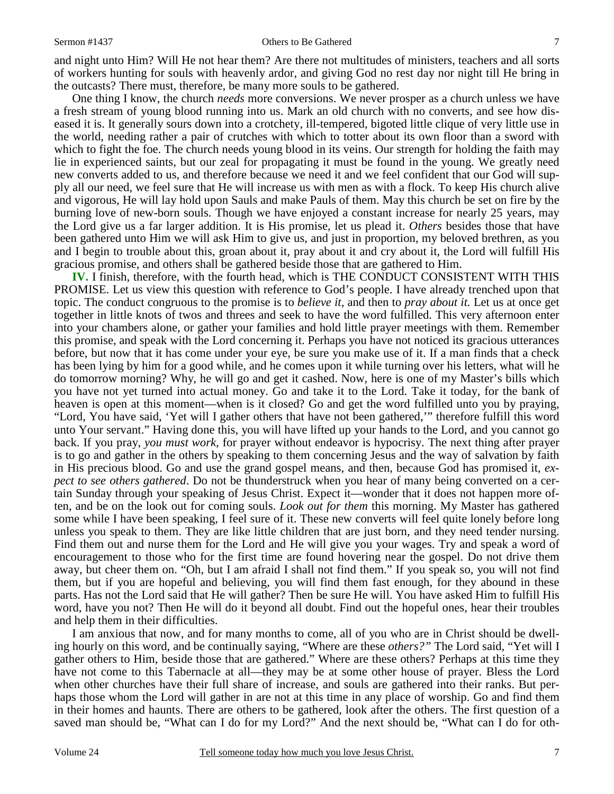#### Sermon #1437 Others to Be Gathered

and night unto Him? Will He not hear them? Are there not multitudes of ministers, teachers and all sorts of workers hunting for souls with heavenly ardor, and giving God no rest day nor night till He bring in the outcasts? There must, therefore, be many more souls to be gathered.

One thing I know, the church *needs* more conversions. We never prosper as a church unless we have a fresh stream of young blood running into us. Mark an old church with no converts, and see how diseased it is. It generally sours down into a crotchety, ill-tempered, bigoted little clique of very little use in the world, needing rather a pair of crutches with which to totter about its own floor than a sword with which to fight the foe. The church needs young blood in its veins. Our strength for holding the faith may lie in experienced saints, but our zeal for propagating it must be found in the young. We greatly need new converts added to us, and therefore because we need it and we feel confident that our God will supply all our need, we feel sure that He will increase us with men as with a flock. To keep His church alive and vigorous, He will lay hold upon Sauls and make Pauls of them. May this church be set on fire by the burning love of new-born souls. Though we have enjoyed a constant increase for nearly 25 years, may the Lord give us a far larger addition. It is His promise, let us plead it. *Others* besides those that have been gathered unto Him we will ask Him to give us, and just in proportion, my beloved brethren, as you and I begin to trouble about this, groan about it, pray about it and cry about it, the Lord will fulfill His gracious promise, and others shall be gathered beside those that are gathered to Him.

**IV.** I finish, therefore, with the fourth head, which is THE CONDUCT CONSISTENT WITH THIS PROMISE. Let us view this question with reference to God's people. I have already trenched upon that topic. The conduct congruous to the promise is to *believe it,* and then to *pray about it.* Let us at once get together in little knots of twos and threes and seek to have the word fulfilled. This very afternoon enter into your chambers alone, or gather your families and hold little prayer meetings with them. Remember this promise, and speak with the Lord concerning it. Perhaps you have not noticed its gracious utterances before, but now that it has come under your eye, be sure you make use of it. If a man finds that a check has been lying by him for a good while, and he comes upon it while turning over his letters, what will he do tomorrow morning? Why, he will go and get it cashed. Now, here is one of my Master's bills which you have not yet turned into actual money. Go and take it to the Lord. Take it today, for the bank of heaven is open at this moment—when is it closed? Go and get the word fulfilled unto you by praying, "Lord, You have said, 'Yet will I gather others that have not been gathered,'" therefore fulfill this word unto Your servant." Having done this, you will have lifted up your hands to the Lord, and you cannot go back. If you pray, *you must work,* for prayer without endeavor is hypocrisy. The next thing after prayer is to go and gather in the others by speaking to them concerning Jesus and the way of salvation by faith in His precious blood. Go and use the grand gospel means, and then, because God has promised it, *expect to see others gathered*. Do not be thunderstruck when you hear of many being converted on a certain Sunday through your speaking of Jesus Christ. Expect it—wonder that it does not happen more often, and be on the look out for coming souls. *Look out for them* this morning. My Master has gathered some while I have been speaking, I feel sure of it. These new converts will feel quite lonely before long unless you speak to them. They are like little children that are just born, and they need tender nursing. Find them out and nurse them for the Lord and He will give you your wages. Try and speak a word of encouragement to those who for the first time are found hovering near the gospel. Do not drive them away, but cheer them on. "Oh, but I am afraid I shall not find them." If you speak so, you will not find them, but if you are hopeful and believing, you will find them fast enough, for they abound in these parts. Has not the Lord said that He will gather? Then be sure He will. You have asked Him to fulfill His word, have you not? Then He will do it beyond all doubt. Find out the hopeful ones, hear their troubles and help them in their difficulties.

I am anxious that now, and for many months to come, all of you who are in Christ should be dwelling hourly on this word, and be continually saying, "Where are these *others?"* The Lord said, "Yet will I gather others to Him, beside those that are gathered." Where are these others? Perhaps at this time they have not come to this Tabernacle at all—they may be at some other house of prayer. Bless the Lord when other churches have their full share of increase, and souls are gathered into their ranks. But perhaps those whom the Lord will gather in are not at this time in any place of worship. Go and find them in their homes and haunts. There are others to be gathered, look after the others. The first question of a saved man should be, "What can I do for my Lord?" And the next should be, "What can I do for oth-